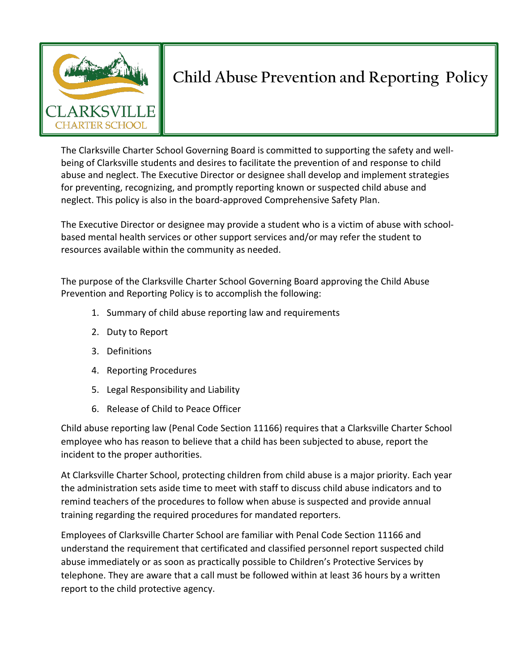

# **Child Abuse Prevention and Reporting Policy**

The Clarksville Charter School Governing Board is committed to supporting the safety and wellbeing of Clarksville students and desires to facilitate the prevention of and response to child abuse and neglect. The Executive Director or designee shall develop and implement strategies for preventing, recognizing, and promptly reporting known or suspected child abuse and neglect. This policy is also in the board-approved Comprehensive Safety Plan.

The Executive Director or designee may provide a student who is a victim of abuse with schoolbased mental health services or other support services and/or may refer the student to resources available within the community as needed.

The purpose of the Clarksville Charter School Governing Board approving the Child Abuse Prevention and Reporting Policy is to accomplish the following:

- 1. Summary of child abuse reporting law and requirements
- 2. Duty to Report
- 3. Definitions
- 4. Reporting Procedures
- 5. Legal Responsibility and Liability
- 6. Release of Child to Peace Officer

Child abuse reporting law (Penal Code Section 11166) requires that a Clarksville Charter School employee who has reason to believe that a child has been subjected to abuse, report the incident to the proper authorities.

At Clarksville Charter School, protecting children from child abuse is a major priority. Each year the administration sets aside time to meet with staff to discuss child abuse indicators and to remind teachers of the procedures to follow when abuse is suspected and provide annual training regarding the required procedures for mandated reporters.

Employees of Clarksville Charter School are familiar with Penal Code Section 11166 and understand the requirement that certificated and classified personnel report suspected child abuse immediately or as soon as practically possible to Children's Protective Services by telephone. They are aware that a call must be followed within at least 36 hours by a written report to the child protective agency.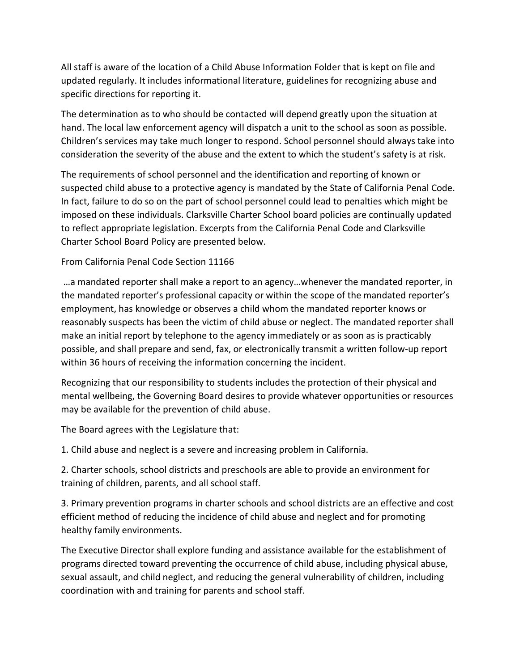All staff is aware of the location of a Child Abuse Information Folder that is kept on file and updated regularly. It includes informational literature, guidelines for recognizing abuse and specific directions for reporting it.

The determination as to who should be contacted will depend greatly upon the situation at hand. The local law enforcement agency will dispatch a unit to the school as soon as possible. Children's services may take much longer to respond. School personnel should always take into consideration the severity of the abuse and the extent to which the student's safety is at risk.

The requirements of school personnel and the identification and reporting of known or suspected child abuse to a protective agency is mandated by the State of California Penal Code. In fact, failure to do so on the part of school personnel could lead to penalties which might be imposed on these individuals. Clarksville Charter School board policies are continually updated to reflect appropriate legislation. Excerpts from the California Penal Code and Clarksville Charter School Board Policy are presented below.

#### From California Penal Code Section 11166

…a mandated reporter shall make a report to an agency…whenever the mandated reporter, in the mandated reporter's professional capacity or within the scope of the mandated reporter's employment, has knowledge or observes a child whom the mandated reporter knows or reasonably suspects has been the victim of child abuse or neglect. The mandated reporter shall make an initial report by telephone to the agency immediately or as soon as is practicably possible, and shall prepare and send, fax, or electronically transmit a written follow-up report within 36 hours of receiving the information concerning the incident.

Recognizing that our responsibility to students includes the protection of their physical and mental wellbeing, the Governing Board desires to provide whatever opportunities or resources may be available for the prevention of child abuse.

The Board agrees with the Legislature that:

1. Child abuse and neglect is a severe and increasing problem in California.

2. Charter schools, school districts and preschools are able to provide an environment for training of children, parents, and all school staff.

3. Primary prevention programs in charter schools and school districts are an effective and cost efficient method of reducing the incidence of child abuse and neglect and for promoting healthy family environments.

The Executive Director shall explore funding and assistance available for the establishment of programs directed toward preventing the occurrence of child abuse, including physical abuse, sexual assault, and child neglect, and reducing the general vulnerability of children, including coordination with and training for parents and school staff.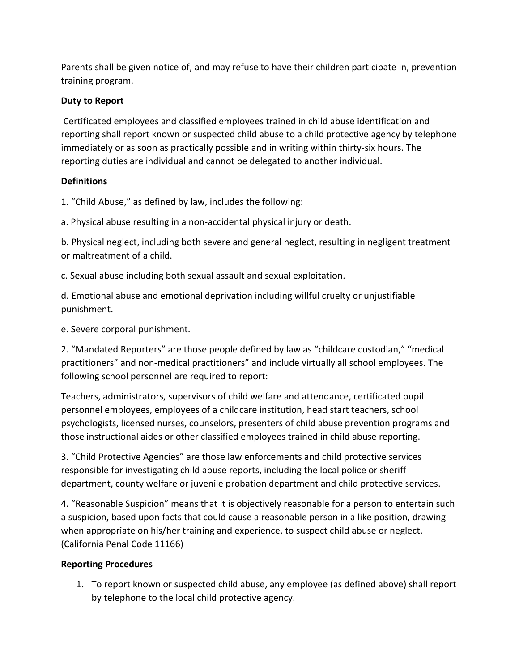Parents shall be given notice of, and may refuse to have their children participate in, prevention training program.

### **Duty to Report**

Certificated employees and classified employees trained in child abuse identification and reporting shall report known or suspected child abuse to a child protective agency by telephone immediately or as soon as practically possible and in writing within thirty-six hours. The reporting duties are individual and cannot be delegated to another individual.

## **Definitions**

1. "Child Abuse," as defined by law, includes the following:

a. Physical abuse resulting in a non-accidental physical injury or death.

b. Physical neglect, including both severe and general neglect, resulting in negligent treatment or maltreatment of a child.

c. Sexual abuse including both sexual assault and sexual exploitation.

d. Emotional abuse and emotional deprivation including willful cruelty or unjustifiable punishment.

e. Severe corporal punishment.

2. "Mandated Reporters" are those people defined by law as "childcare custodian," "medical practitioners" and non-medical practitioners" and include virtually all school employees. The following school personnel are required to report:

Teachers, administrators, supervisors of child welfare and attendance, certificated pupil personnel employees, employees of a childcare institution, head start teachers, school psychologists, licensed nurses, counselors, presenters of child abuse prevention programs and those instructional aides or other classified employees trained in child abuse reporting.

3. "Child Protective Agencies" are those law enforcements and child protective services responsible for investigating child abuse reports, including the local police or sheriff department, county welfare or juvenile probation department and child protective services.

4. "Reasonable Suspicion" means that it is objectively reasonable for a person to entertain such a suspicion, based upon facts that could cause a reasonable person in a like position, drawing when appropriate on his/her training and experience, to suspect child abuse or neglect. (California Penal Code 11166)

# **Reporting Procedures**

1. To report known or suspected child abuse, any employee (as defined above) shall report by telephone to the local child protective agency.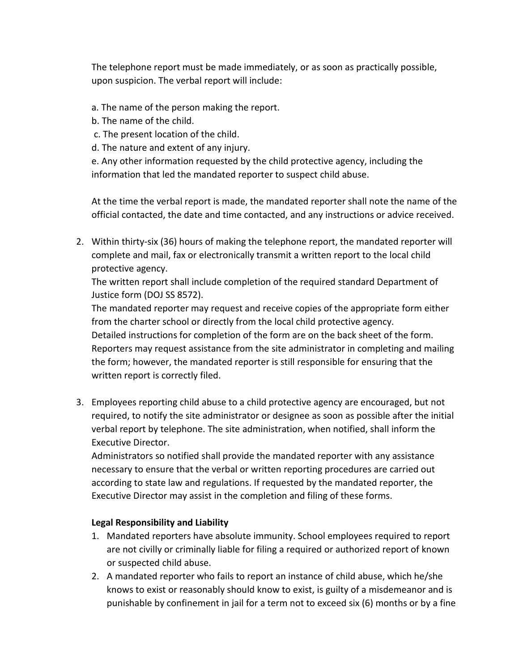The telephone report must be made immediately, or as soon as practically possible, upon suspicion. The verbal report will include:

- a. The name of the person making the report.
- b. The name of the child.
- c. The present location of the child.
- d. The nature and extent of any injury.

e. Any other information requested by the child protective agency, including the information that led the mandated reporter to suspect child abuse.

At the time the verbal report is made, the mandated reporter shall note the name of the official contacted, the date and time contacted, and any instructions or advice received.

2. Within thirty-six (36) hours of making the telephone report, the mandated reporter will complete and mail, fax or electronically transmit a written report to the local child protective agency.

The written report shall include completion of the required standard Department of Justice form (DOJ SS 8572).

The mandated reporter may request and receive copies of the appropriate form either from the charter school or directly from the local child protective agency. Detailed instructions for completion of the form are on the back sheet of the form. Reporters may request assistance from the site administrator in completing and mailing the form; however, the mandated reporter is still responsible for ensuring that the written report is correctly filed.

3. Employees reporting child abuse to a child protective agency are encouraged, but not required, to notify the site administrator or designee as soon as possible after the initial verbal report by telephone. The site administration, when notified, shall inform the Executive Director.

Administrators so notified shall provide the mandated reporter with any assistance necessary to ensure that the verbal or written reporting procedures are carried out according to state law and regulations. If requested by the mandated reporter, the Executive Director may assist in the completion and filing of these forms.

#### **Legal Responsibility and Liability**

- 1. Mandated reporters have absolute immunity. School employees required to report are not civilly or criminally liable for filing a required or authorized report of known or suspected child abuse.
- 2. A mandated reporter who fails to report an instance of child abuse, which he/she knows to exist or reasonably should know to exist, is guilty of a misdemeanor and is punishable by confinement in jail for a term not to exceed six (6) months or by a fine